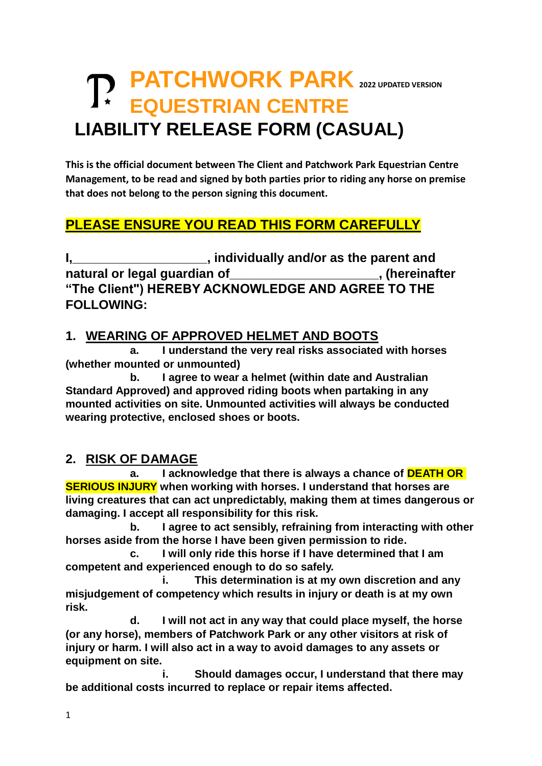# **TD** PATCHWORK PARK 2022 UPDATED VERSION  **EQUESTRIAN CENTRE LIABILITY RELEASE FORM (CASUAL)**

**This is the official document between The Client and Patchwork Park Equestrian Centre Management, to be read and signed by both parties prior to riding any horse on premise that does not belong to the person signing this document.**

# **PLEASE ENSURE YOU READ THIS FORM CAREFULLY**

**I,\_\_\_\_\_\_\_\_\_\_\_\_\_\_\_\_\_\_\_, individually and/or as the parent and**  natural or legal guardian of **natural or legal guardian of "The Client") HEREBY ACKNOWLEDGE AND AGREE TO THE FOLLOWING:**

#### **1. WEARING OF APPROVED HELMET AND BOOTS**

**a. I understand the very real risks associated with horses (whether mounted or unmounted)** 

**b. I agree to wear a helmet (within date and Australian Standard Approved) and approved riding boots when partaking in any mounted activities on site. Unmounted activities will always be conducted wearing protective, enclosed shoes or boots.** 

#### **2. RISK OF DAMAGE**

**a. I acknowledge that there is always a chance of DEATH OR SERIOUS INJURY when working with horses. I understand that horses are living creatures that can act unpredictably, making them at times dangerous or damaging. I accept all responsibility for this risk.**

**b. I agree to act sensibly, refraining from interacting with other horses aside from the horse I have been given permission to ride.**

**c. I will only ride this horse if I have determined that I am competent and experienced enough to do so safely.**

**i. This determination is at my own discretion and any misjudgement of competency which results in injury or death is at my own risk.**

**d. I will not act in any way that could place myself, the horse (or any horse), members of Patchwork Park or any other visitors at risk of injury or harm. I will also act in a way to avoid damages to any assets or equipment on site.** 

**i. Should damages occur, I understand that there may be additional costs incurred to replace or repair items affected.**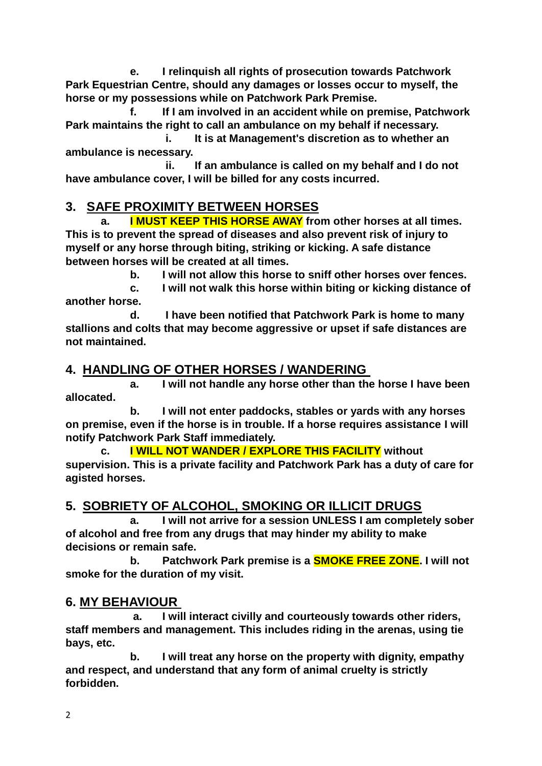**e. I relinquish all rights of prosecution towards Patchwork Park Equestrian Centre, should any damages or losses occur to myself, the horse or my possessions while on Patchwork Park Premise.**

**f. If I am involved in an accident while on premise, Patchwork Park maintains the right to call an ambulance on my behalf if necessary.** 

**i. It is at Management's discretion as to whether an ambulance is necessary.**

**ii. If an ambulance is called on my behalf and I do not have ambulance cover, I will be billed for any costs incurred.**

## **3. SAFE PROXIMITY BETWEEN HORSES**

**a. I MUST KEEP THIS HORSE AWAY from other horses at all times. This is to prevent the spread of diseases and also prevent risk of injury to myself or any horse through biting, striking or kicking. A safe distance between horses will be created at all times.** 

**b. I will not allow this horse to sniff other horses over fences.**

**c. I will not walk this horse within biting or kicking distance of another horse.**

**d. I have been notified that Patchwork Park is home to many stallions and colts that may become aggressive or upset if safe distances are not maintained.**

## **4. HANDLING OF OTHER HORSES / WANDERING**

**a. I will not handle any horse other than the horse I have been allocated.**

**b. I will not enter paddocks, stables or yards with any horses on premise, even if the horse is in trouble. If a horse requires assistance I will notify Patchwork Park Staff immediately.** 

**c. I WILL NOT WANDER / EXPLORE THIS FACILITY without supervision. This is a private facility and Patchwork Park has a duty of care for agisted horses.** 

# **5. SOBRIETY OF ALCOHOL, SMOKING OR ILLICIT DRUGS**

**a. I will not arrive for a session UNLESS I am completely sober of alcohol and free from any drugs that may hinder my ability to make decisions or remain safe.**

**b. Patchwork Park premise is a SMOKE FREE ZONE. I will not smoke for the duration of my visit.**

#### **6. MY BEHAVIOUR**

**a. I will interact civilly and courteously towards other riders, staff members and management. This includes riding in the arenas, using tie bays, etc.**

**b. I will treat any horse on the property with dignity, empathy and respect, and understand that any form of animal cruelty is strictly forbidden.**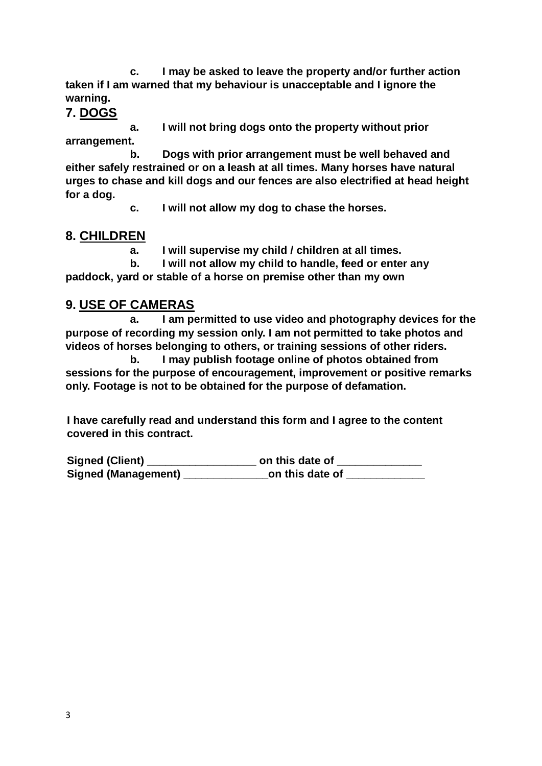**c. I may be asked to leave the property and/or further action taken if I am warned that my behaviour is unacceptable and I ignore the warning.** 

**7. DOGS**

**a. I will not bring dogs onto the property without prior arrangement.**

**b. Dogs with prior arrangement must be well behaved and either safely restrained or on a leash at all times. Many horses have natural urges to chase and kill dogs and our fences are also electrified at head height for a dog.** 

**c. I will not allow my dog to chase the horses.**

## **8. CHILDREN**

**a. I will supervise my child / children at all times.**

**b. I will not allow my child to handle, feed or enter any paddock, yard or stable of a horse on premise other than my own**

## **9. USE OF CAMERAS**

**a. I am permitted to use video and photography devices for the purpose of recording my session only. I am not permitted to take photos and videos of horses belonging to others, or training sessions of other riders.**

**b. I may publish footage online of photos obtained from sessions for the purpose of encouragement, improvement or positive remarks only. Footage is not to be obtained for the purpose of defamation.**

**I have carefully read and understand this form and I agree to the content covered in this contract.** 

**Signed (Client) \_\_\_\_\_\_\_\_\_\_\_\_\_\_\_\_\_\_ on this date of \_\_\_\_\_\_\_\_\_\_\_\_\_\_** Signed (Management) **\_\_\_\_\_\_\_\_\_\_\_\_\_\_\_\_\_\_on this date of \_\_\_\_\_**